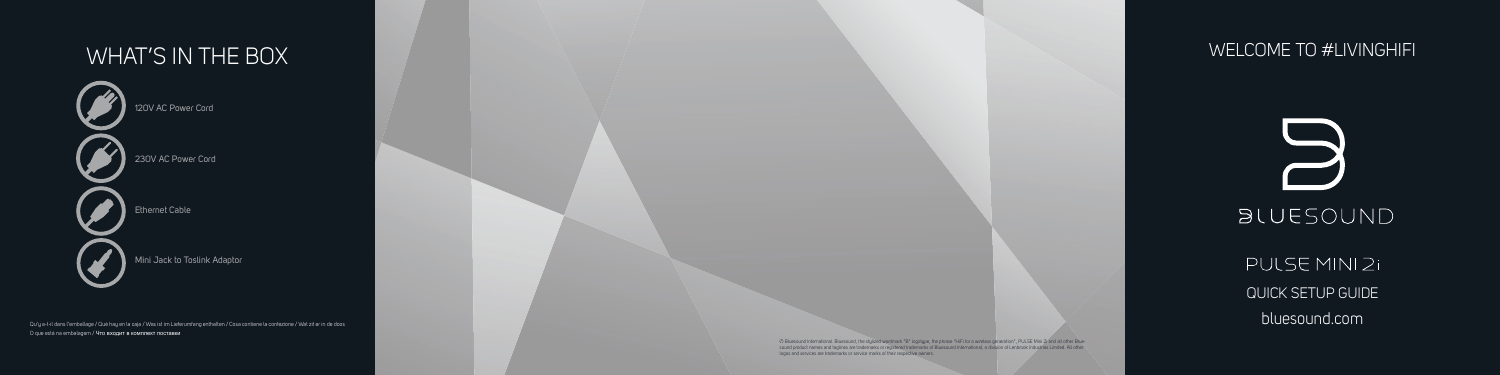PULSE MINI 2i QUICK SETUP GUIDE bluesound.com



# **BLUESOUND**



120V AC Power Cord

230V AC Power Cord

Ethernet Cable

Mini Jack to Toslink Adaptor

© Bluesound International. Bluesound, the stylized wordmark "B" logotype, the phrase "HiFi for a wireless generation", PULSE Mini 2i and all other Blue-<br>sound product names and taglines are trademarks or registered tradema logos and services are trademarks or service marks of their respective owners.

Qu'y a-t-il dans l'emballage / Qué hay en la caja / Was ist im Lieferumfang enthalten / Cosa contiene la confezione / Wat zit er in de doos O que está na embalagem / Что входит в комплект поставки